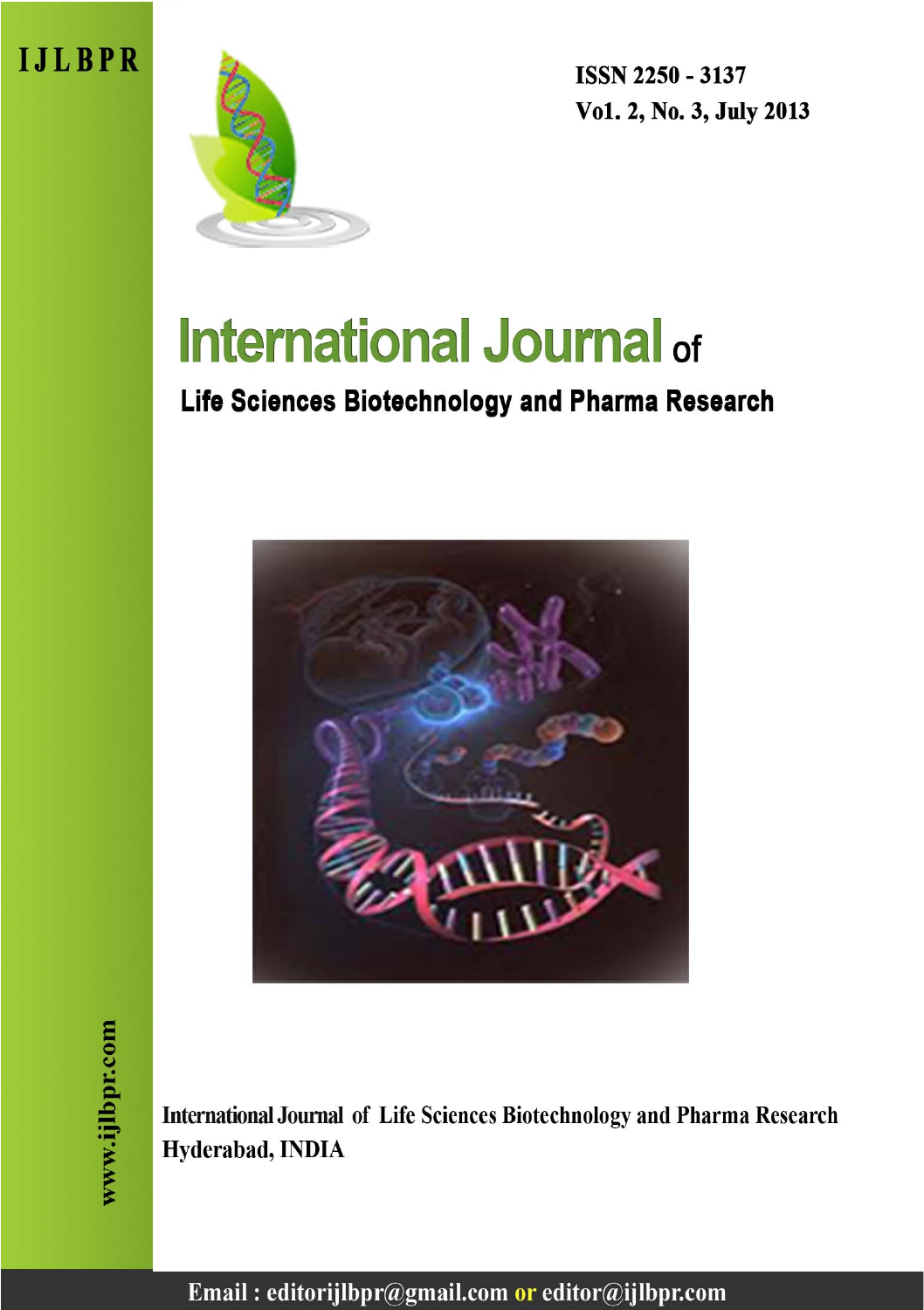



**ISSN 2250 - 3137** Vo1. 2, No. 3, July 2013

# **International Journal of**

# Life Sciences Biotechnology and Pharma Research



International Journal of Life Sciences Biotechnology and Pharma Research Hyderabad, INDIA

Email: editorijlbpr@gmail.com or editor@ijlbpr.com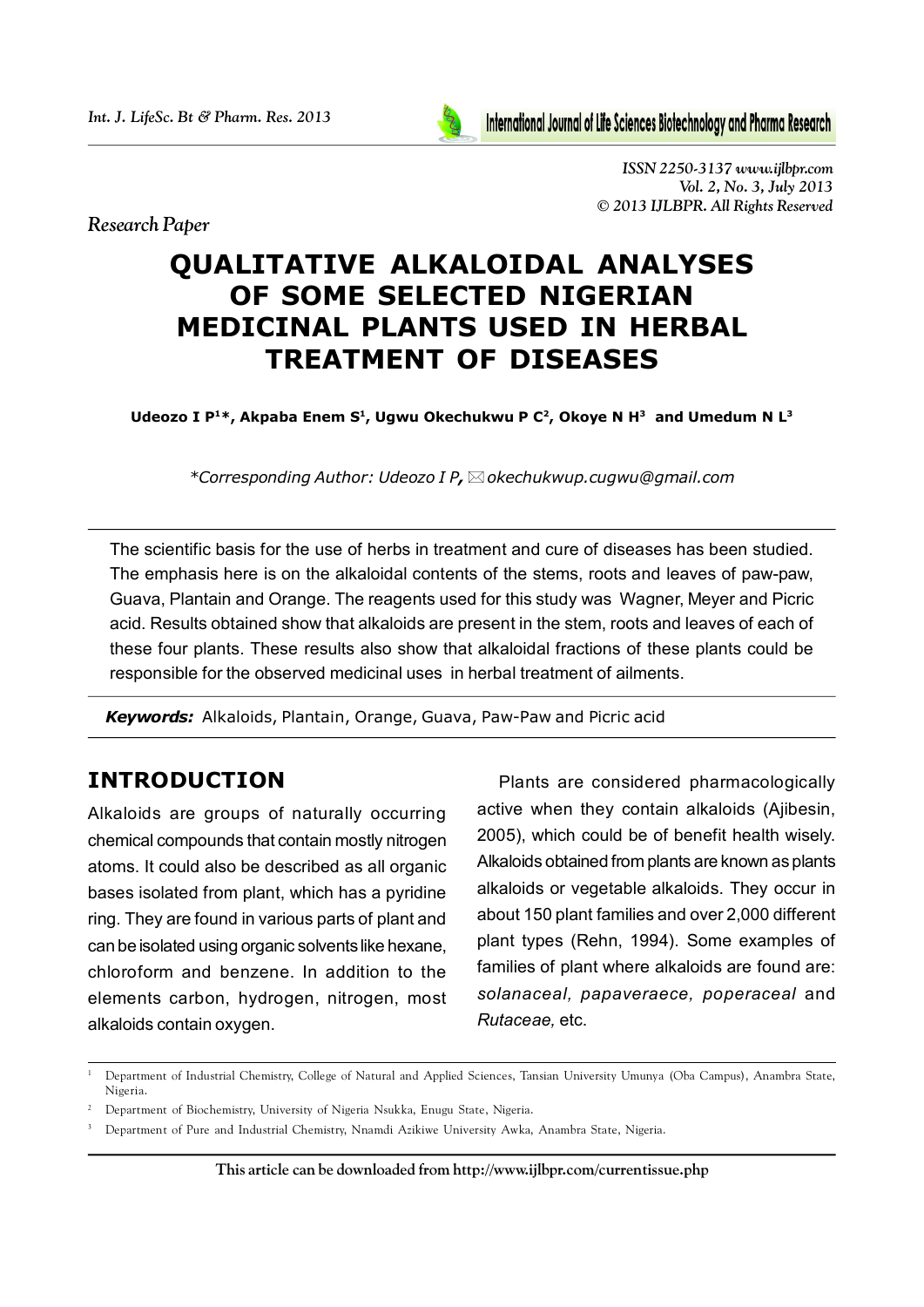*Research Paper*



*ISSN 2250-3137 www.ijlbpr.com Vol. 2, No. 3, July 2013 © 2013 IJLBPR. All Rights Reserved*

# **QUALITATIVE ALKALOIDAL ANALYSES OF SOME SELECTED NIGERIAN MEDICINAL PLANTS USED IN HERBAL TREATMENT OF DISEASES**

Udeozo I P<sup>1\*</sup>, Akpaba Enem S<sup>1</sup>, Ugwu Okechukwu P C<sup>2</sup>, Okoye N H<sup>3</sup> and Umedum N L<sup>3</sup>

*\*Corresponding Author: Udeozo I P,okechukwup.cugwu@gmail.com*

The scientific basis for the use of herbs in treatment and cure of diseases has been studied. The emphasis here is on the alkaloidal contents of the stems, roots and leaves of paw-paw, Guava, Plantain and Orange. The reagents used for this study was Wagner, Meyer and Picric acid. Results obtained show that alkaloids are present in the stem, roots and leaves of each of these four plants. These results also show that alkaloidal fractions of these plants could be responsible for the observed medicinal uses in herbal treatment of ailments.

*Keywords:* Alkaloids, Plantain, Orange, Guava, Paw-Paw and Picric acid

# **INTRODUCTION**

Alkaloids are groups of naturally occurring chemical compounds that contain mostly nitrogen atoms. It could also be described as all organic bases isolated from plant, which has a pyridine ring. They are found in various parts of plant and can be isolated using organic solvents like hexane, chloroform and benzene. In addition to the elements carbon, hydrogen, nitrogen, most alkaloids contain oxygen.

Plants are considered pharmacologically active when they contain alkaloids (Ajibesin, 2005), which could be of benefit health wisely. Alkaloids obtained from plants are known as plants alkaloids or vegetable alkaloids. They occur in about 150 plant families and over 2,000 different plant types (Rehn, 1994). Some examples of families of plant where alkaloids are found are: *solanaceal, papaveraece, poperaceal* and *Rutaceae,* etc.

<sup>1</sup> Department of Industrial Chemistry, College of Natural and Applied Sciences, Tansian University Umunya (Oba Campus), Anambra State, Nigeria.

<sup>&</sup>lt;sup>2</sup> Department of Biochemistry, University of Nigeria Nsukka, Enugu State, Nigeria.

<sup>&</sup>lt;sup>3</sup> Department of Pure and Industrial Chemistry, Nnamdi Azikiwe University Awka, Anambra State, Nigeria.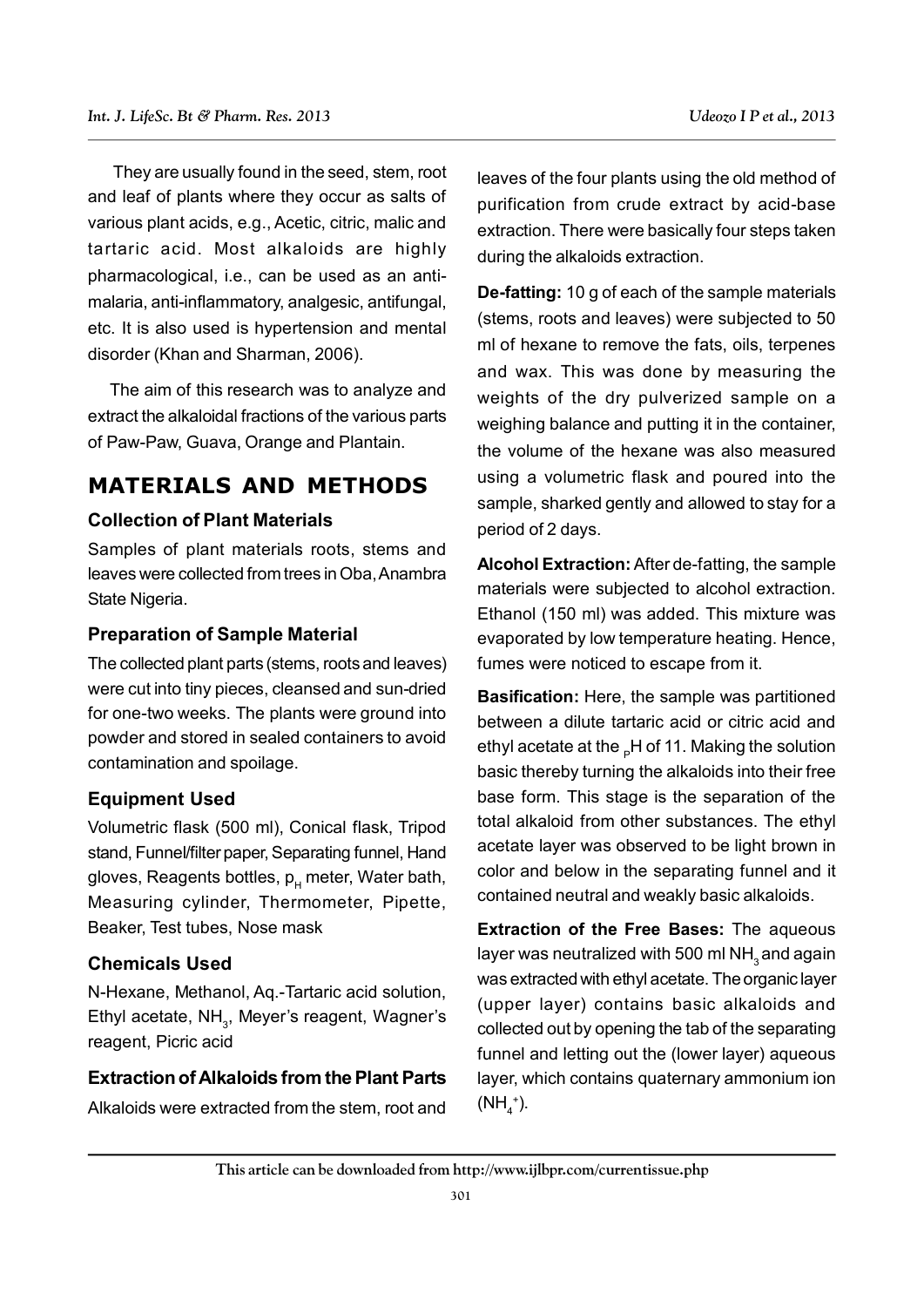They are usually found in the seed, stem, root and leaf of plants where they occur as salts of various plant acids, e.g., Acetic, citric, malic and tartaric acid. Most alkaloids are highly pharmacological, i.e., can be used as an antimalaria, anti-inflammatory, analgesic, antifungal, etc. It is also used is hypertension and mental disorder (Khan and Sharman, 2006).

The aim of this research was to analyze and extract the alkaloidal fractions of the various parts of Paw-Paw, Guava, Orange and Plantain.

# **MATERIALS AND METHODS**

#### **Collection of Plant Materials**

Samples of plant materials roots, stems and leaves were collected from trees in Oba, Anambra State Nigeria.

#### **Preparation of Sample Material**

The collected plant parts (stems, roots and leaves) were cut into tiny pieces, cleansed and sun-dried for one-two weeks. The plants were ground into powder and stored in sealed containers to avoid contamination and spoilage.

#### **Equipment Used**

Volumetric flask (500 ml), Conical flask, Tripod stand, Funnel/filter paper, Separating funnel, Hand gloves, Reagents bottles,  $p_{\mu}$  meter, Water bath, Measuring cylinder, Thermometer, Pipette, Beaker, Test tubes, Nose mask

#### **Chemicals Used**

N-Hexane, Methanol, Aq.-Tartaric acid solution, Ethyl acetate, NH<sub>3</sub>, Meyer's reagent, Wagner's reagent, Picric acid

#### **Extraction of Alkaloids from the Plant Parts**

Alkaloids were extracted from the stem, root and

leaves of the four plants using the old method of purification from crude extract by acid-base extraction. There were basically four steps taken during the alkaloids extraction.

**De-fatting:** 10 g of each of the sample materials (stems, roots and leaves) were subjected to 50 ml of hexane to remove the fats, oils, terpenes and wax. This was done by measuring the weights of the dry pulverized sample on a weighing balance and putting it in the container, the volume of the hexane was also measured using a volumetric flask and poured into the sample, sharked gently and allowed to stay for a period of 2 days.

**Alcohol Extraction:** After de-fatting, the sample materials were subjected to alcohol extraction. Ethanol (150 ml) was added. This mixture was evaporated by low temperature heating. Hence, fumes were noticed to escape from it.

**Basification:** Here, the sample was partitioned between a dilute tartaric acid or citric acid and ethyl acetate at the <sub>P</sub>H of 11. Making the solution basic thereby turning the alkaloids into their free base form. This stage is the separation of the total alkaloid from other substances. The ethyl acetate layer was observed to be light brown in color and below in the separating funnel and it contained neutral and weakly basic alkaloids.

**Extraction of the Free Bases:** The aqueous layer was neutralized with 500 ml NH<sub>2</sub> and again was extracted with ethyl acetate. The organic layer (upper layer) contains basic alkaloids and collected out by opening the tab of the separating funnel and letting out the (lower layer) aqueous layer, which contains quaternary ammonium ion  $(NH<sub>4</sub><sup>+</sup>).$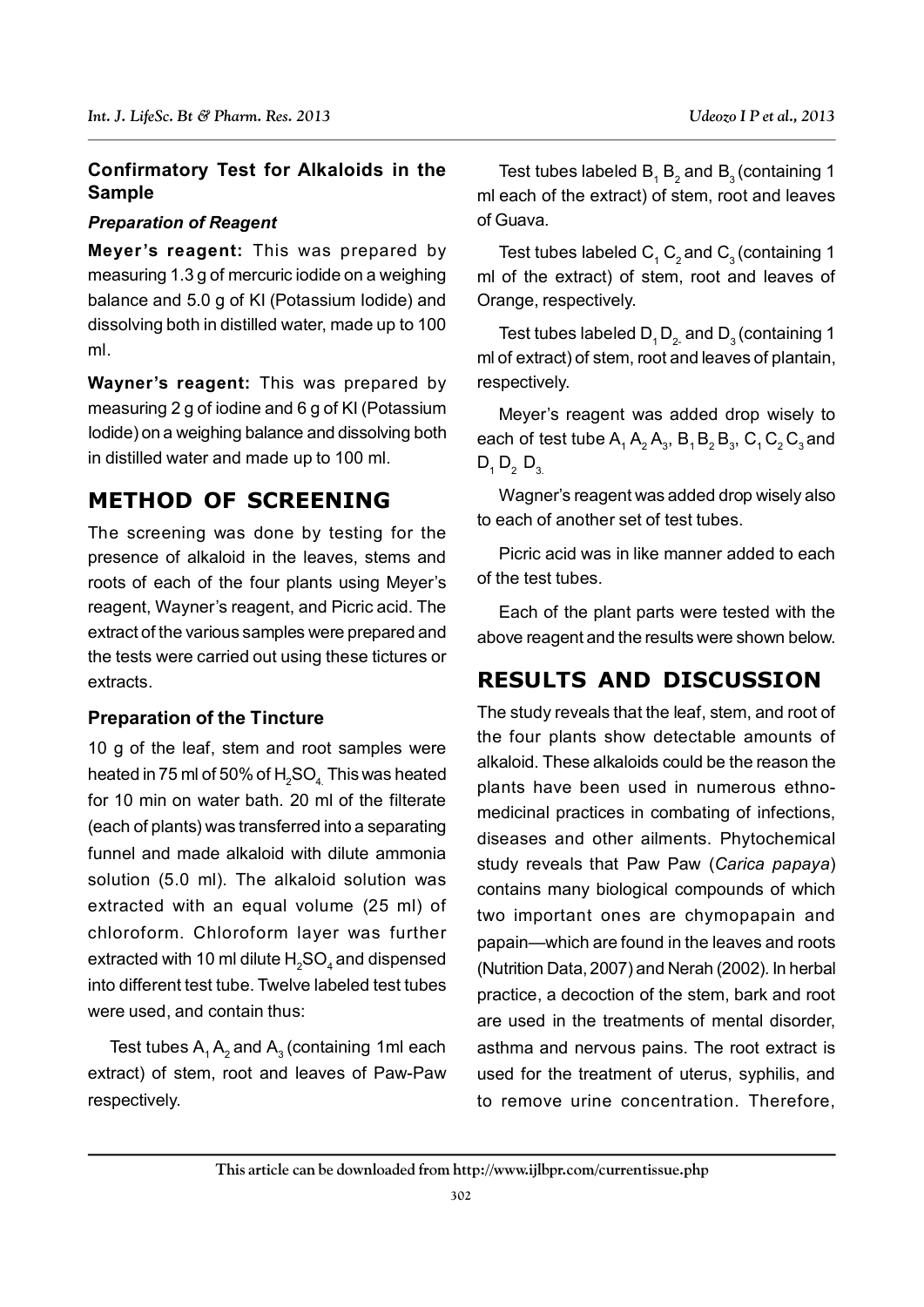#### **Confirmatory Test for Alkaloids in the Sample**

#### *Preparation of Reagent*

**Meyer's reagent:** This was prepared by measuring 1.3 g of mercuric iodide on a weighing balance and 5.0 g of KI (Potassium Iodide) and dissolving both in distilled water, made up to 100 ml.

**Wayner's reagent:** This was prepared by measuring 2 g of iodine and 6 g of KI (Potassium Iodide) on a weighing balance and dissolving both in distilled water and made up to 100 ml.

## **METHOD OF SCREENING**

The screening was done by testing for the presence of alkaloid in the leaves, stems and roots of each of the four plants using Meyer's reagent, Wayner's reagent, and Picric acid. The extract of the various samples were prepared and the tests were carried out using these tictures or extracts.

#### **Preparation of the Tincture**

10 g of the leaf, stem and root samples were heated in 75 ml of 50% of  $H_2SO_4$ . This was heated for 10 min on water bath. 20 ml of the filterate (each of plants) was transferred into a separating funnel and made alkaloid with dilute ammonia solution (5.0 ml). The alkaloid solution was extracted with an equal volume (25 ml) of chloroform. Chloroform layer was further extracted with 10 ml dilute  $\mathsf{H}_{_2}\mathsf{SO}_{_4}$  and dispensed into different test tube. Twelve labeled test tubes were used, and contain thus:

Test tubes  $A_1 A_2$  and  $A_3$  (containing 1ml each extract) of stem, root and leaves of Paw-Paw respectively.

Test tubes labeled  $B_1 B_2$  and  $B_3$  (containing 1 ml each of the extract) of stem, root and leaves of Guava.

Test tubes labeled  $\mathsf{C}_1\,\mathsf{C}_2$  and  $\mathsf{C}_3$  (containing 1 ml of the extract) of stem, root and leaves of Orange, respectively.

Test tubes labeled  $D_1 D_2$  and  $D_3$  (containing 1 ml of extract) of stem, root and leaves of plantain, respectively.

Meyer's reagent was added drop wisely to each of test tube  $\mathsf{A}_1\,\mathsf{A}_2\,\mathsf{A}_3$ ,  $\mathsf{B}_1\,\mathsf{B}_2\,\mathsf{B}_3$ ,  $\mathsf{C}_1\,\mathsf{C}_2\,\mathsf{C}_3$  and  $D_1 D_2 D_3$ 

Wagner's reagent was added drop wisely also to each of another set of test tubes.

Picric acid was in like manner added to each of the test tubes.

Each of the plant parts were tested with the above reagent and the results were shown below.

## **RESULTS AND DISCUSSION**

The study reveals that the leaf, stem, and root of the four plants show detectable amounts of alkaloid. These alkaloids could be the reason the plants have been used in numerous ethnomedicinal practices in combating of infections, diseases and other ailments. Phytochemical study reveals that Paw Paw (*Carica papaya*) contains many biological compounds of which two important ones are chymopapain and papain—which are found in the leaves and roots (Nutrition Data, 2007) and Nerah (2002). In herbal practice, a decoction of the stem, bark and root are used in the treatments of mental disorder, asthma and nervous pains. The root extract is used for the treatment of uterus, syphilis, and to remove urine concentration. Therefore,

#### **This article can be downloaded from http://www.ijlbpr.com/currentissue.php**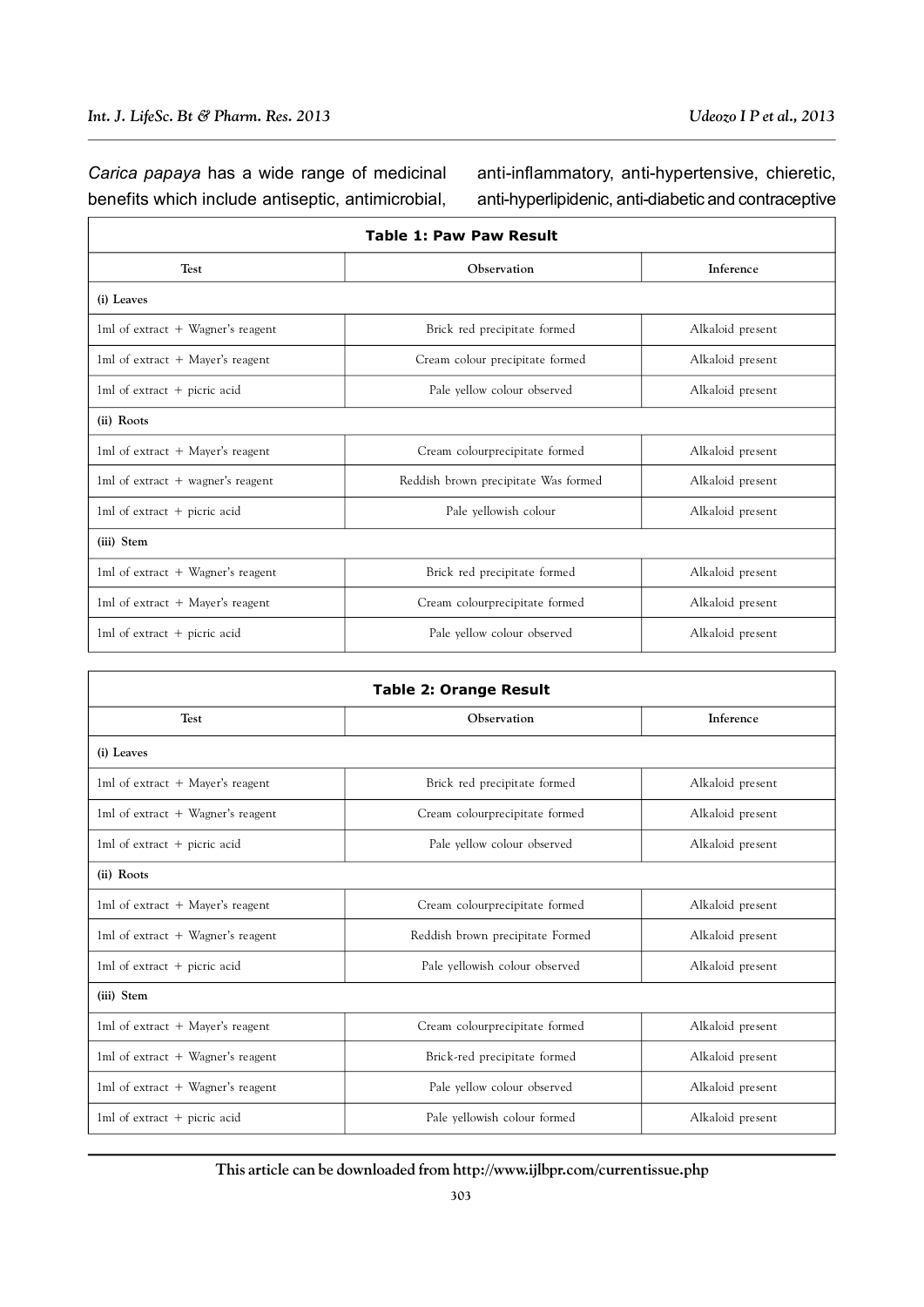F

*Carica papaya* has a wide range of medicinal benefits which include antiseptic, antimicrobial,

anti-inflammatory, anti-hypertensive, chieretic, anti-hyperlipidenic, anti-diabetic and contraceptive

| <b>Table 1: Paw Paw Result</b>      |                                      |                  |  |  |
|-------------------------------------|--------------------------------------|------------------|--|--|
| <b>Test</b>                         | Observation                          | Inference        |  |  |
| (i) Leaves                          |                                      |                  |  |  |
| 1ml of extract $+$ Wagner's reagent | Brick red precipitate formed         | Alkaloid present |  |  |
| 1ml of extract + Mayer's reagent    | Cream colour precipitate formed      | Alkaloid present |  |  |
| 1ml of extract $+$ picric acid      | Pale yellow colour observed          | Alkaloid present |  |  |
| (ii) Roots                          |                                      |                  |  |  |
| 1ml of extract $+$ Mayer's reagent  | Cream colourprecipitate formed       | Alkaloid present |  |  |
| 1ml of extract $+$ wagner's reagent | Reddish brown precipitate Was formed | Alkaloid present |  |  |
| 1ml of extract $+$ picric acid      | Pale yellowish colour                | Alkaloid present |  |  |
| (iii) Stem                          |                                      |                  |  |  |
| 1ml of extract $+$ Wagner's reagent | Brick red precipitate formed         | Alkaloid present |  |  |
| 1ml of extract $+$ Mayer's reagent  | Cream colourprecipitate formed       | Alkaloid present |  |  |
| 1ml of extract $+$ picric acid      | Pale yellow colour observed          | Alkaloid present |  |  |

| <b>Table 2: Orange Result</b>       |                                  |                  |  |  |
|-------------------------------------|----------------------------------|------------------|--|--|
| <b>Test</b>                         | Observation                      | Inference        |  |  |
| (i) Leaves                          |                                  |                  |  |  |
| 1ml of extract $+$ Mayer's reagent  | Brick red precipitate formed     | Alkaloid present |  |  |
| 1ml of extract $+$ Wagner's reagent | Cream colourprecipitate formed   | Alkaloid present |  |  |
| 1ml of extract $+$ picric acid      | Pale yellow colour observed      | Alkaloid present |  |  |
| (ii) Roots                          |                                  |                  |  |  |
| 1ml of extract $+$ Mayer's reagent  | Cream colourprecipitate formed   | Alkaloid present |  |  |
| 1ml of extract $+$ Wagner's reagent | Reddish brown precipitate Formed | Alkaloid present |  |  |
| 1ml of extract $+$ picric acid      | Pale yellowish colour observed   | Alkaloid present |  |  |
| (iii) Stem                          |                                  |                  |  |  |
| 1ml of extract $+$ Mayer's reagent  | Cream colourprecipitate formed   | Alkaloid present |  |  |
| 1ml of extract $+$ Wagner's reagent | Brick-red precipitate formed     | Alkaloid present |  |  |
| 1ml of extract $+$ Wagner's reagent | Pale yellow colour observed      | Alkaloid present |  |  |
| 1ml of extract $+$ picric acid      | Pale yellowish colour formed     | Alkaloid present |  |  |

**This article can be downloaded from http://www.ijlbpr.com/currentissue.php**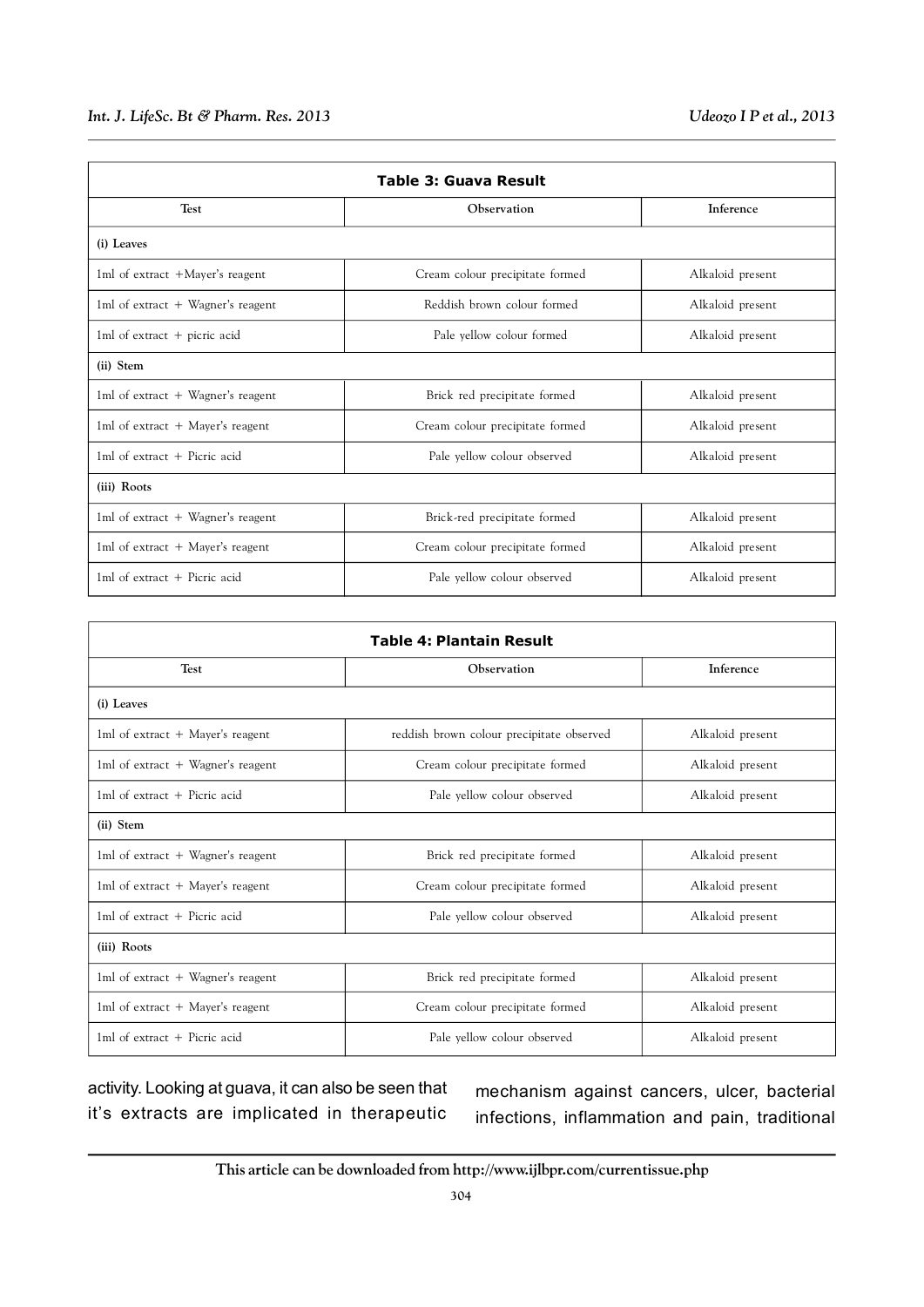#### *Int. J. LifeSc. Bt & Pharm. Res. 2013 Udeozo I P et al., 2013*

| Table 3: Guava Result               |                                 |                  |  |  |
|-------------------------------------|---------------------------------|------------------|--|--|
| <b>Test</b>                         | Observation                     | Inference        |  |  |
| (i) Leaves                          |                                 |                  |  |  |
| 1ml of extract +Mayer's reagent     | Cream colour precipitate formed | Alkaloid present |  |  |
| 1ml of extract $+$ Wagner's reagent | Reddish brown colour formed     | Alkaloid present |  |  |
| 1ml of extract $+$ picric acid      | Pale yellow colour formed       | Alkaloid present |  |  |
| (ii) Stem                           |                                 |                  |  |  |
| 1ml of extract + Wagner's reagent   | Brick red precipitate formed    | Alkaloid present |  |  |
| 1ml of extract $+$ Mayer's reagent  | Cream colour precipitate formed | Alkaloid present |  |  |
| $1ml$ of extract $+$ Picric acid    | Pale yellow colour observed     | Alkaloid present |  |  |
| (iii) Roots                         |                                 |                  |  |  |
| 1ml of extract $+$ Wagner's reagent | Brick-red precipitate formed    | Alkaloid present |  |  |
| 1ml of extract $+$ Mayer's reagent  | Cream colour precipitate formed | Alkaloid present |  |  |
| 1ml of extract $+$ Picric acid      | Pale yellow colour observed     | Alkaloid present |  |  |

| <b>Table 4: Plantain Result</b>     |                                           |                  |  |  |
|-------------------------------------|-------------------------------------------|------------------|--|--|
| <b>Test</b>                         | Observation                               | Inference        |  |  |
| (i) Leaves                          |                                           |                  |  |  |
| 1ml of extract $+$ Mayer's reagent  | reddish brown colour precipitate observed | Alkaloid present |  |  |
| 1ml of extract $+$ Wagner's reagent | Cream colour precipitate formed           | Alkaloid present |  |  |
| $1ml$ of extract $+$ Picric acid    | Pale yellow colour observed               | Alkaloid present |  |  |
| (ii) Stem                           |                                           |                  |  |  |
| 1ml of extract $+$ Wagner's reagent | Brick red precipitate formed              | Alkaloid present |  |  |
| 1ml of extract $+$ Mayer's reagent  | Cream colour precipitate formed           | Alkaloid present |  |  |
| 1ml of extract + Picric acid        | Pale yellow colour observed               | Alkaloid present |  |  |
| (iii) Roots                         |                                           |                  |  |  |
| 1ml of extract $+$ Wagner's reagent | Brick red precipitate formed              | Alkaloid present |  |  |
| 1ml of extract + Mayer's reagent    | Cream colour precipitate formed           | Alkaloid present |  |  |
| $1ml$ of extract $+$ Picric acid    | Pale yellow colour observed               | Alkaloid present |  |  |

activity. Looking at guava, it can also be seen that it's extracts are implicated in therapeutic

mechanism against cancers, ulcer, bacterial infections, inflammation and pain, traditional

**This article can be downloaded from http://www.ijlbpr.com/currentissue.php**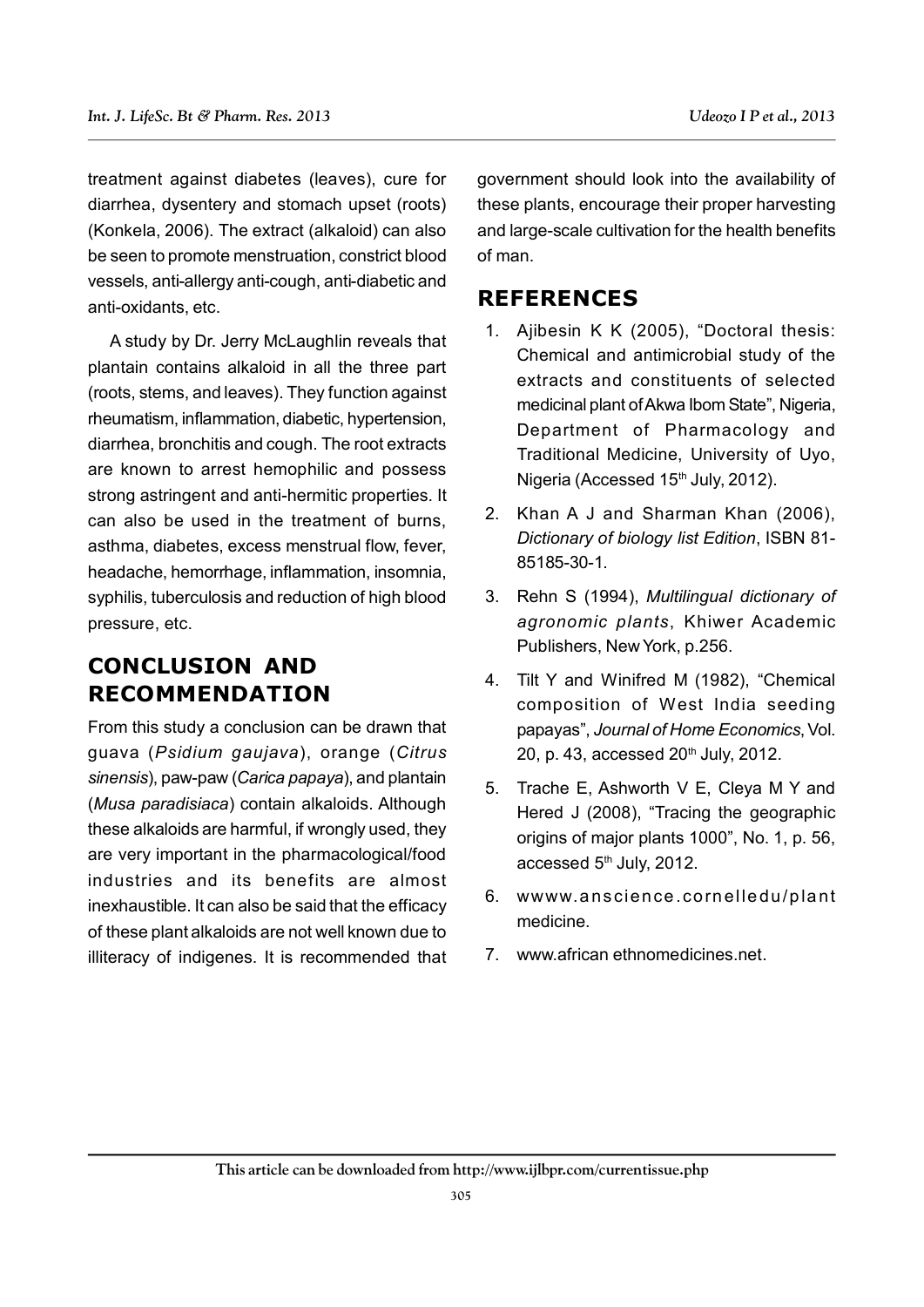treatment against diabetes (leaves), cure for diarrhea, dysentery and stomach upset (roots) (Konkela, 2006). The extract (alkaloid) can also be seen to promote menstruation, constrict blood vessels, anti-allergy anti-cough, anti-diabetic and anti-oxidants, etc.

A study by Dr. Jerry McLaughlin reveals that plantain contains alkaloid in all the three part (roots, stems, and leaves). They function against rheumatism, inflammation, diabetic, hypertension, diarrhea, bronchitis and cough. The root extracts are known to arrest hemophilic and possess strong astringent and anti-hermitic properties. It can also be used in the treatment of burns, asthma, diabetes, excess menstrual flow, fever, headache, hemorrhage, inflammation, insomnia, syphilis, tuberculosis and reduction of high blood pressure, etc.

# **CONCLUSION AND RECOMMENDATION**

From this study a conclusion can be drawn that guava (*Psidium gaujava*), orange (*Citrus sinensis*), paw-paw (*Carica papaya*), and plantain (*Musa paradisiaca*) contain alkaloids. Although these alkaloids are harmful, if wrongly used, they are very important in the pharmacological/food industries and its benefits are almost inexhaustible. It can also be said that the efficacy of these plant alkaloids are not well known due to illiteracy of indigenes. It is recommended that government should look into the availability of these plants, encourage their proper harvesting and large-scale cultivation for the health benefits of man.

## **REFERENCES**

- 1. Ajibesin K K (2005), "Doctoral thesis: Chemical and antimicrobial study of the extracts and constituents of selected medicinal plant of Akwa Ibom State", Nigeria, Department of Pharmacology and Traditional Medicine, University of Uyo, Nigeria (Accessed 15<sup>th</sup> July, 2012).
- 2. Khan A J and Sharman Khan (2006), *Dictionary of biology list Edition*, ISBN 81- 85185-30-1.
- 3. Rehn S (1994), *Multilingual dictionary of agronomic plants*, Khiwer Academic Publishers, New York, p.256.
- 4. Tilt Y and Winifred M (1982), "Chemical composition of West India seeding papayas", *Journal of Home Economics*, Vol. 20, p. 43, accessed 20<sup>th</sup> July, 2012.
- 5. Trache E, Ashworth V E, Cleya M Y and Hered J (2008), "Tracing the geographic origins of major plants 1000", No. 1, p. 56, accessed 5<sup>th</sup> July, 2012.
- 6. wwww.a nscien ce .co rn elle du /p la nt medicine.
- 7. www.african ethnomedicines.net.